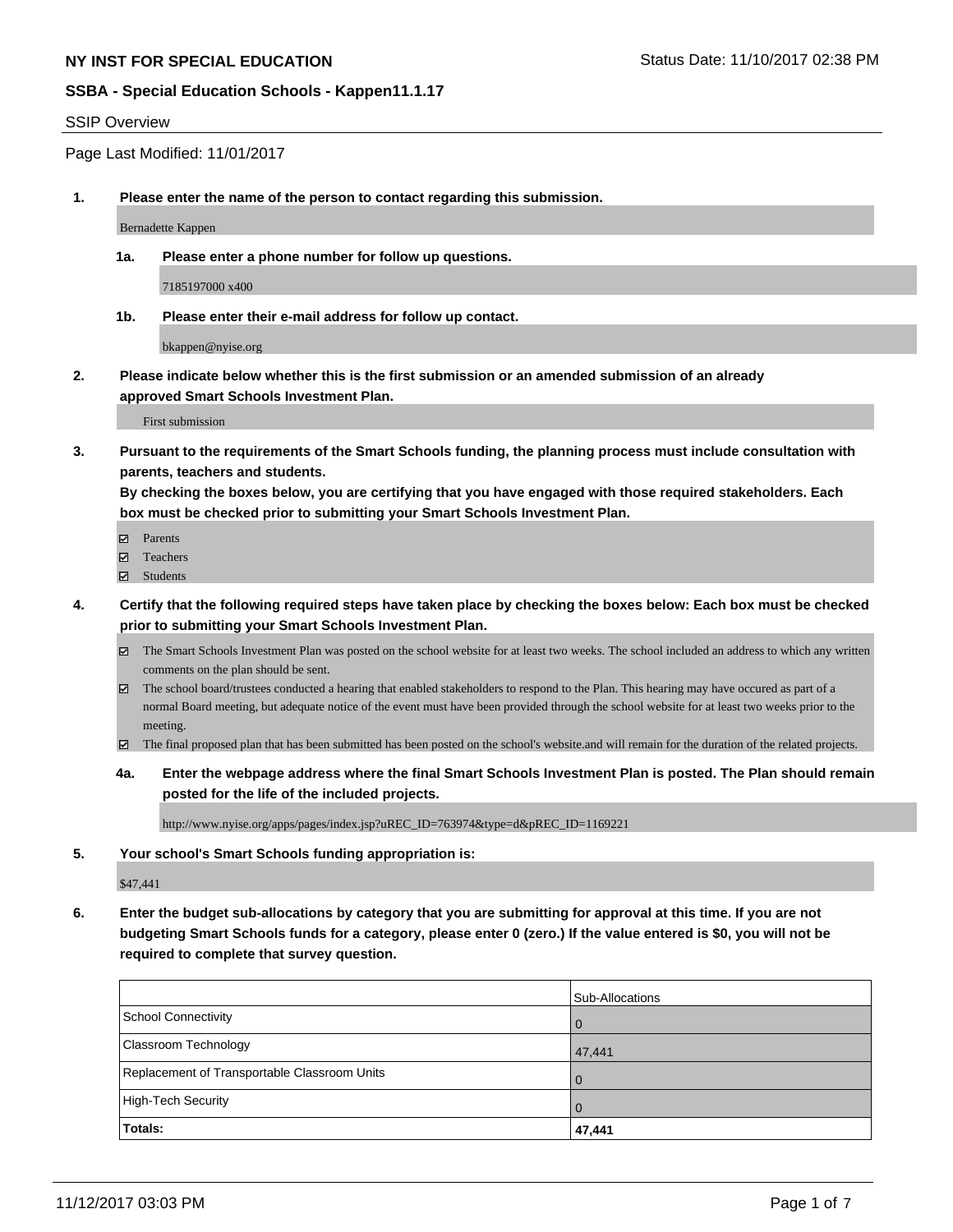### SSIP Overview

Page Last Modified: 11/01/2017

**1. Please enter the name of the person to contact regarding this submission.**

Bernadette Kappen

**1a. Please enter a phone number for follow up questions.**

7185197000 x400

**1b. Please enter their e-mail address for follow up contact.**

bkappen@nyise.org

**2. Please indicate below whether this is the first submission or an amended submission of an already approved Smart Schools Investment Plan.**

First submission

**3. Pursuant to the requirements of the Smart Schools funding, the planning process must include consultation with parents, teachers and students.**

**By checking the boxes below, you are certifying that you have engaged with those required stakeholders. Each box must be checked prior to submitting your Smart Schools Investment Plan.**

- **Ø** Parents
- **□** Teachers
- Students
- **4. Certify that the following required steps have taken place by checking the boxes below: Each box must be checked prior to submitting your Smart Schools Investment Plan.**
	- The Smart Schools Investment Plan was posted on the school website for at least two weeks. The school included an address to which any written comments on the plan should be sent.
	- $\boxtimes$  The school board/trustees conducted a hearing that enabled stakeholders to respond to the Plan. This hearing may have occured as part of a normal Board meeting, but adequate notice of the event must have been provided through the school website for at least two weeks prior to the meeting.
	- The final proposed plan that has been submitted has been posted on the school's website.and will remain for the duration of the related projects.
	- **4a. Enter the webpage address where the final Smart Schools Investment Plan is posted. The Plan should remain posted for the life of the included projects.**

http://www.nyise.org/apps/pages/index.jsp?uREC\_ID=763974&type=d&pREC\_ID=1169221

**5. Your school's Smart Schools funding appropriation is:**

\$47,441

**6. Enter the budget sub-allocations by category that you are submitting for approval at this time. If you are not budgeting Smart Schools funds for a category, please enter 0 (zero.) If the value entered is \$0, you will not be required to complete that survey question.**

|                                              | Sub-Allocations |
|----------------------------------------------|-----------------|
| School Connectivity                          | $\overline{0}$  |
| <b>Classroom Technology</b>                  | 47,441          |
| Replacement of Transportable Classroom Units | $\Omega$        |
| High-Tech Security                           | $\overline{0}$  |
| Totals:                                      | 47,441          |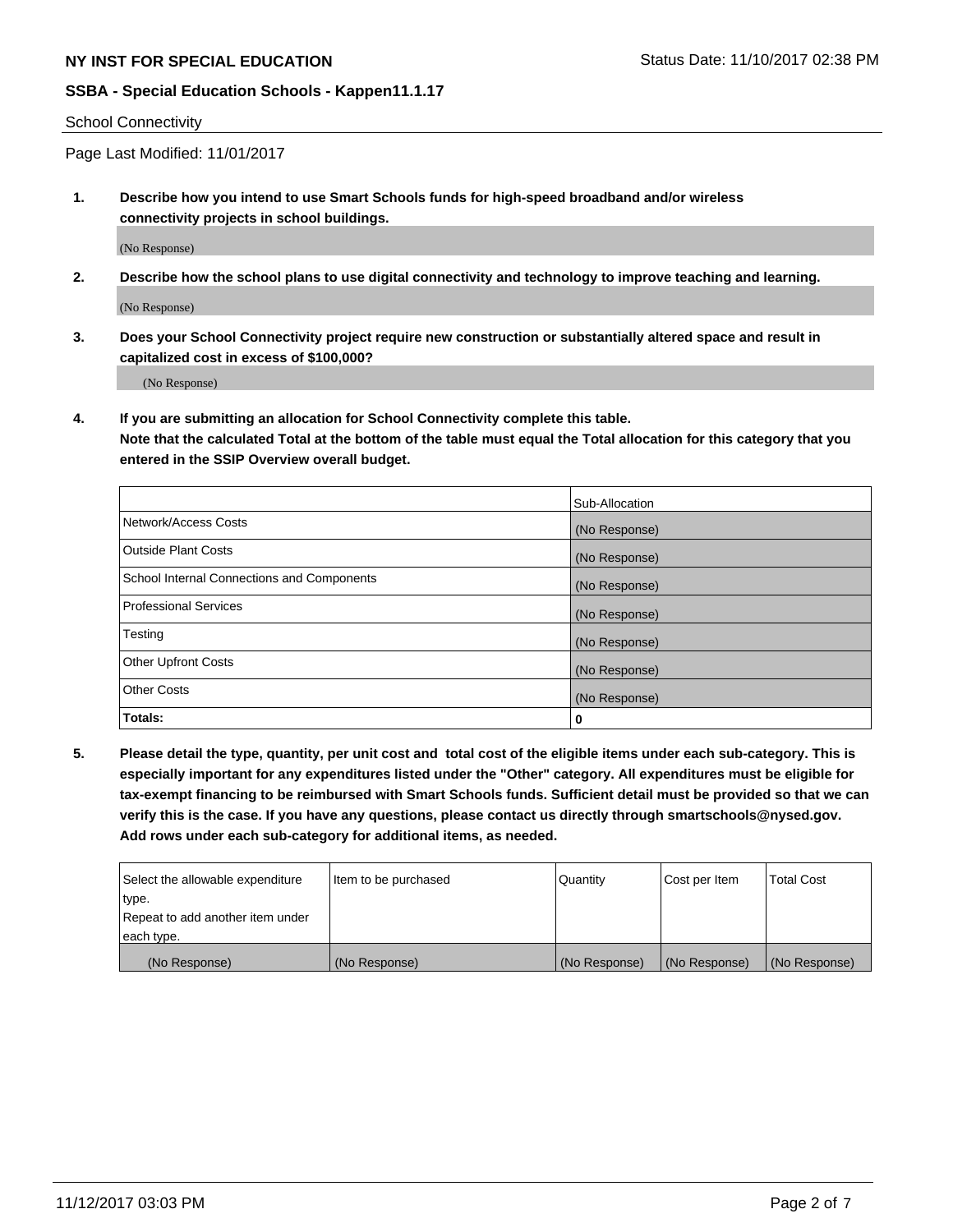School Connectivity

Page Last Modified: 11/01/2017

**1. Describe how you intend to use Smart Schools funds for high-speed broadband and/or wireless connectivity projects in school buildings.**

(No Response)

**2. Describe how the school plans to use digital connectivity and technology to improve teaching and learning.**

(No Response)

**3. Does your School Connectivity project require new construction or substantially altered space and result in capitalized cost in excess of \$100,000?**

(No Response)

**4. If you are submitting an allocation for School Connectivity complete this table.**

**Note that the calculated Total at the bottom of the table must equal the Total allocation for this category that you entered in the SSIP Overview overall budget.** 

|                                            | Sub-Allocation |
|--------------------------------------------|----------------|
| Network/Access Costs                       | (No Response)  |
| <b>Outside Plant Costs</b>                 | (No Response)  |
| School Internal Connections and Components | (No Response)  |
| <b>Professional Services</b>               | (No Response)  |
| Testing                                    | (No Response)  |
| <b>Other Upfront Costs</b>                 | (No Response)  |
| <b>Other Costs</b>                         | (No Response)  |
| Totals:                                    | 0              |

**5. Please detail the type, quantity, per unit cost and total cost of the eligible items under each sub-category. This is especially important for any expenditures listed under the "Other" category. All expenditures must be eligible for tax-exempt financing to be reimbursed with Smart Schools funds. Sufficient detail must be provided so that we can verify this is the case. If you have any questions, please contact us directly through smartschools@nysed.gov. Add rows under each sub-category for additional items, as needed.**

| Select the allowable expenditure | Item to be purchased | Quantity      | Cost per Item | Total Cost    |
|----------------------------------|----------------------|---------------|---------------|---------------|
| type.                            |                      |               |               |               |
| Repeat to add another item under |                      |               |               |               |
| each type.                       |                      |               |               |               |
| (No Response)                    | (No Response)        | (No Response) | (No Response) | (No Response) |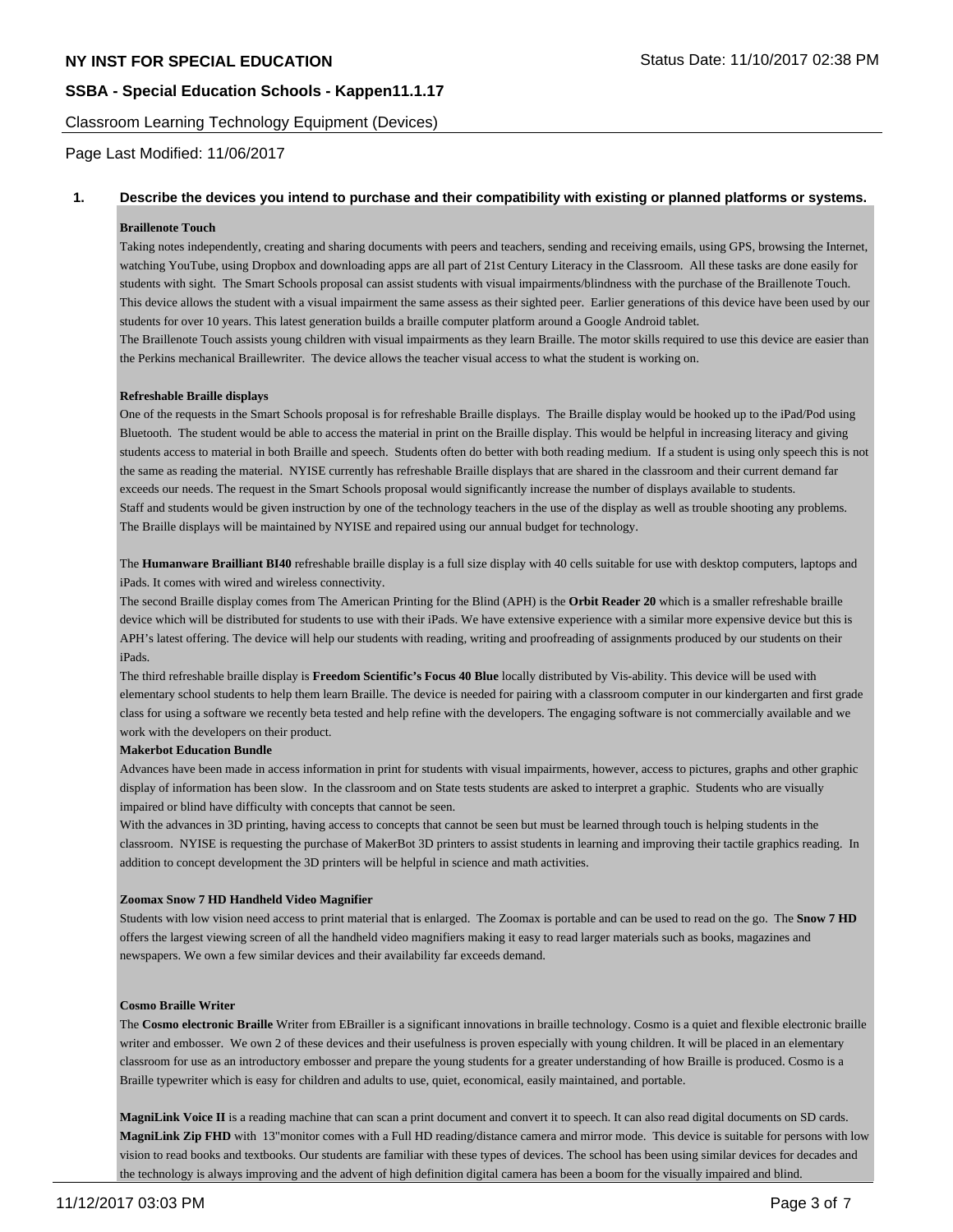Classroom Learning Technology Equipment (Devices)

Page Last Modified: 11/06/2017

### **1. Describe the devices you intend to purchase and their compatibility with existing or planned platforms or systems.**

#### **Braillenote Touch**

Taking notes independently, creating and sharing documents with peers and teachers, sending and receiving emails, using GPS, browsing the Internet, watching YouTube, using Dropbox and downloading apps are all part of 21st Century Literacy in the Classroom. All these tasks are done easily for students with sight. The Smart Schools proposal can assist students with visual impairments/blindness with the purchase of the Braillenote Touch. This device allows the student with a visual impairment the same assess as their sighted peer. Earlier generations of this device have been used by our students for over 10 years. This latest generation builds a braille computer platform around a Google Android tablet. The Braillenote Touch assists young children with visual impairments as they learn Braille. The motor skills required to use this device are easier than the Perkins mechanical Braillewriter. The device allows the teacher visual access to what the student is working on.

#### **Refreshable Braille displays**

One of the requests in the Smart Schools proposal is for refreshable Braille displays. The Braille display would be hooked up to the iPad/Pod using Bluetooth. The student would be able to access the material in print on the Braille display. This would be helpful in increasing literacy and giving students access to material in both Braille and speech. Students often do better with both reading medium. If a student is using only speech this is not the same as reading the material. NYISE currently has refreshable Braille displays that are shared in the classroom and their current demand far exceeds our needs. The request in the Smart Schools proposal would significantly increase the number of displays available to students. Staff and students would be given instruction by one of the technology teachers in the use of the display as well as trouble shooting any problems. The Braille displays will be maintained by NYISE and repaired using our annual budget for technology.

The **Humanware Brailliant BI40** refreshable braille display is a full size display with 40 cells suitable for use with desktop computers, laptops and iPads. It comes with wired and wireless connectivity.

The second Braille display comes from The American Printing for the Blind (APH) is the **Orbit Reader 20** which is a smaller refreshable braille device which will be distributed for students to use with their iPads. We have extensive experience with a similar more expensive device but this is APH's latest offering. The device will help our students with reading, writing and proofreading of assignments produced by our students on their iPads.

The third refreshable braille display is **Freedom Scientific's Focus 40 Blue** locally distributed by Vis-ability. This device will be used with elementary school students to help them learn Braille. The device is needed for pairing with a classroom computer in our kindergarten and first grade class for using a software we recently beta tested and help refine with the developers. The engaging software is not commercially available and we work with the developers on their product.

#### **Makerbot Education Bundle**

Advances have been made in access information in print for students with visual impairments, however, access to pictures, graphs and other graphic display of information has been slow. In the classroom and on State tests students are asked to interpret a graphic. Students who are visually impaired or blind have difficulty with concepts that cannot be seen.

With the advances in 3D printing, having access to concepts that cannot be seen but must be learned through touch is helping students in the classroom. NYISE is requesting the purchase of MakerBot 3D printers to assist students in learning and improving their tactile graphics reading. In addition to concept development the 3D printers will be helpful in science and math activities.

#### **Zoomax Snow 7 HD Handheld Video Magnifier**

Students with low vision need access to print material that is enlarged. The Zoomax is portable and can be used to read on the go. The **Snow 7 HD** offers the largest viewing screen of all the handheld video magnifiers making it easy to read larger materials such as books, magazines and newspapers. We own a few similar devices and their availability far exceeds demand.

#### **Cosmo Braille Writer**

The **Cosmo electronic Braille** Writer from EBrailler is a significant innovations in braille technology. Cosmo is a quiet and flexible electronic braille writer and embosser. We own 2 of these devices and their usefulness is proven especially with young children. It will be placed in an elementary classroom for use as an introductory embosser and prepare the young students for a greater understanding of how Braille is produced. Cosmo is a Braille typewriter which is easy for children and adults to use, quiet, economical, easily maintained, and portable.

**MagniLink Voice II** is a reading machine that can scan a print document and convert it to speech. It can also read digital documents on SD cards. MagniLink Zip FHD with 13"monitor comes with a Full HD reading/distance camera and mirror mode. This device is suitable for persons with low vision to read books and textbooks. Our students are familiar with these types of devices. The school has been using similar devices for decades and the technology is always improving and the advent of high definition digital camera has been a boom for the visually impaired and blind.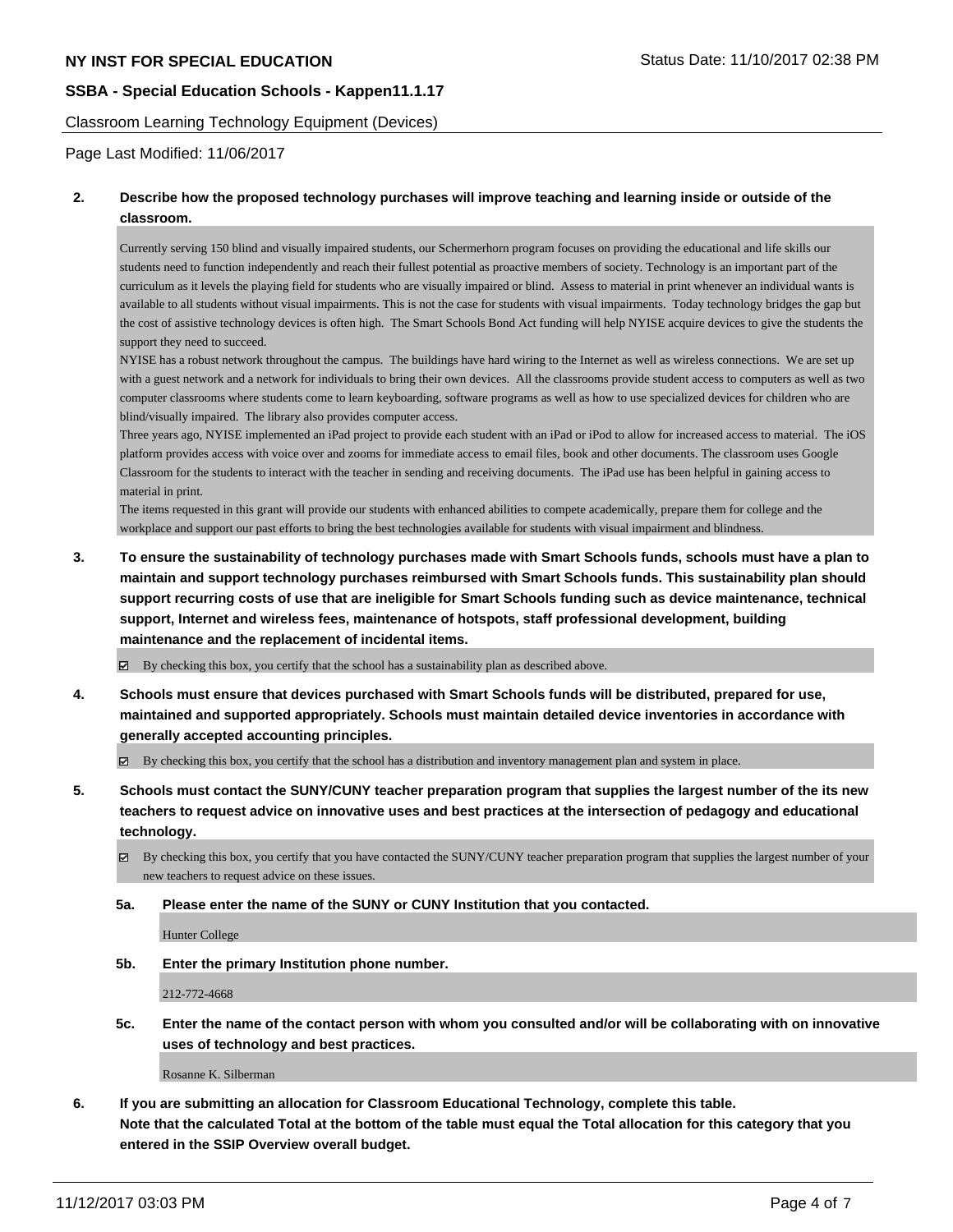Classroom Learning Technology Equipment (Devices)

Page Last Modified: 11/06/2017

# **2. Describe how the proposed technology purchases will improve teaching and learning inside or outside of the classroom.**

Currently serving 150 blind and visually impaired students, our Schermerhorn program focuses on providing the educational and life skills our students need to function independently and reach their fullest potential as proactive members of society. Technology is an important part of the curriculum as it levels the playing field for students who are visually impaired or blind. Assess to material in print whenever an individual wants is available to all students without visual impairments. This is not the case for students with visual impairments. Today technology bridges the gap but the cost of assistive technology devices is often high. The Smart Schools Bond Act funding will help NYISE acquire devices to give the students the support they need to succeed.

NYISE has a robust network throughout the campus. The buildings have hard wiring to the Internet as well as wireless connections. We are set up with a guest network and a network for individuals to bring their own devices. All the classrooms provide student access to computers as well as two computer classrooms where students come to learn keyboarding, software programs as well as how to use specialized devices for children who are blind/visually impaired. The library also provides computer access.

Three years ago, NYISE implemented an iPad project to provide each student with an iPad or iPod to allow for increased access to material. The iOS platform provides access with voice over and zooms for immediate access to email files, book and other documents. The classroom uses Google Classroom for the students to interact with the teacher in sending and receiving documents. The iPad use has been helpful in gaining access to material in print.

The items requested in this grant will provide our students with enhanced abilities to compete academically, prepare them for college and the workplace and support our past efforts to bring the best technologies available for students with visual impairment and blindness.

**3. To ensure the sustainability of technology purchases made with Smart Schools funds, schools must have a plan to maintain and support technology purchases reimbursed with Smart Schools funds. This sustainability plan should support recurring costs of use that are ineligible for Smart Schools funding such as device maintenance, technical support, Internet and wireless fees, maintenance of hotspots, staff professional development, building maintenance and the replacement of incidental items.**

 $\boxtimes$  By checking this box, you certify that the school has a sustainability plan as described above.

**4. Schools must ensure that devices purchased with Smart Schools funds will be distributed, prepared for use, maintained and supported appropriately. Schools must maintain detailed device inventories in accordance with generally accepted accounting principles.**

By checking this box, you certify that the school has a distribution and inventory management plan and system in place.

**5. Schools must contact the SUNY/CUNY teacher preparation program that supplies the largest number of the its new teachers to request advice on innovative uses and best practices at the intersection of pedagogy and educational technology.**

By checking this box, you certify that you have contacted the SUNY/CUNY teacher preparation program that supplies the largest number of your new teachers to request advice on these issues.

**5a. Please enter the name of the SUNY or CUNY Institution that you contacted.**

Hunter College

**5b. Enter the primary Institution phone number.**

212-772-4668

**5c. Enter the name of the contact person with whom you consulted and/or will be collaborating with on innovative uses of technology and best practices.**

Rosanne K. Silberman

**6. If you are submitting an allocation for Classroom Educational Technology, complete this table. Note that the calculated Total at the bottom of the table must equal the Total allocation for this category that you entered in the SSIP Overview overall budget.**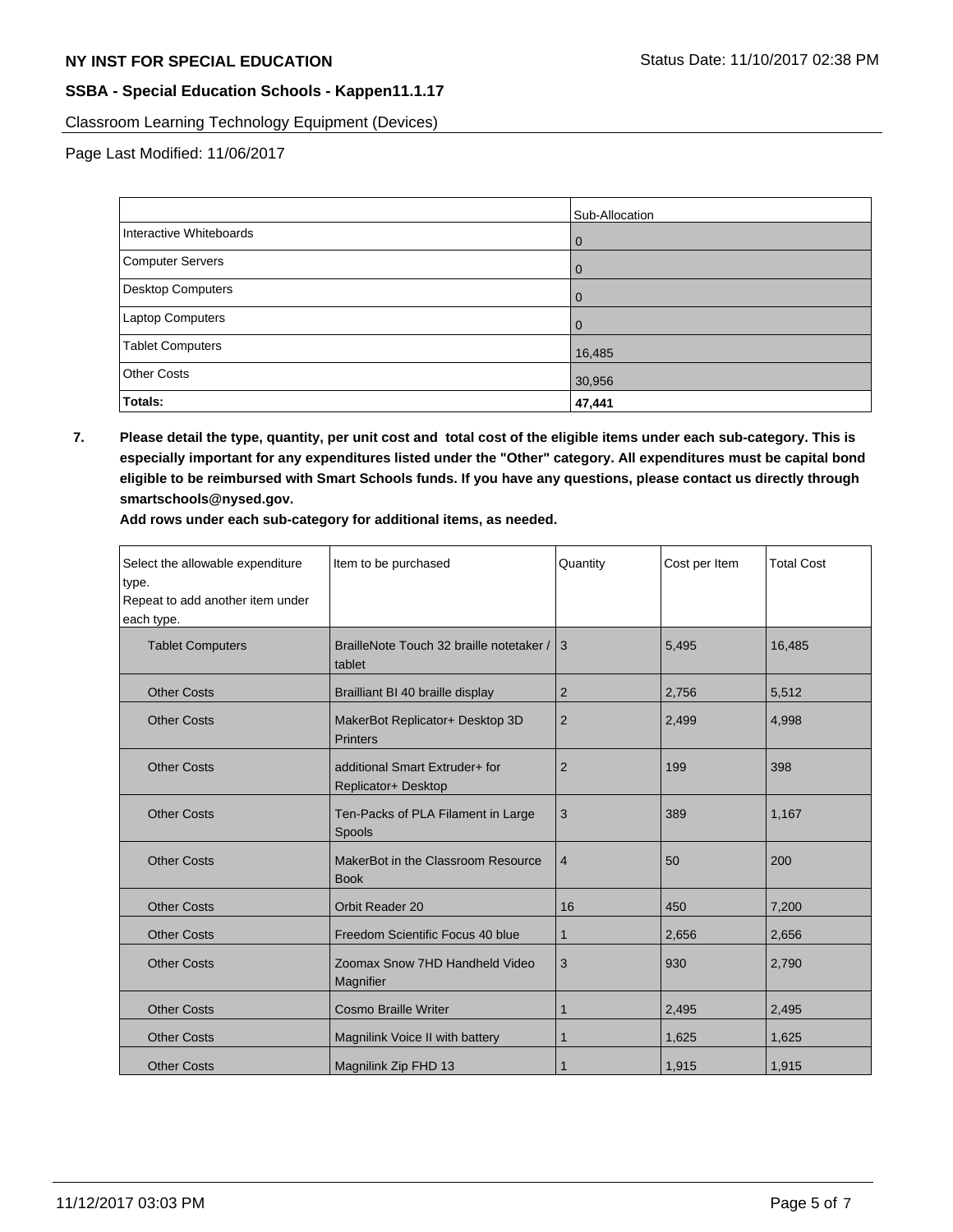Classroom Learning Technology Equipment (Devices)

Page Last Modified: 11/06/2017

|                          | Sub-Allocation |
|--------------------------|----------------|
| Interactive Whiteboards  | 0              |
| Computer Servers         | 0              |
| <b>Desktop Computers</b> | O              |
| <b>Laptop Computers</b>  |                |
| <b>Tablet Computers</b>  | 16,485         |
| <b>Other Costs</b>       | 30,956         |
| Totals:                  | 47,441         |

**7. Please detail the type, quantity, per unit cost and total cost of the eligible items under each sub-category. This is especially important for any expenditures listed under the "Other" category. All expenditures must be capital bond eligible to be reimbursed with Smart Schools funds. If you have any questions, please contact us directly through smartschools@nysed.gov.**

**Add rows under each sub-category for additional items, as needed.**

| Select the allowable expenditure<br>type.<br>Repeat to add another item under<br>each type. | Item to be purchased                                  | Quantity       | Cost per Item | <b>Total Cost</b> |
|---------------------------------------------------------------------------------------------|-------------------------------------------------------|----------------|---------------|-------------------|
| <b>Tablet Computers</b>                                                                     | BrailleNote Touch 32 braille notetaker /<br>tablet    | 3              | 5,495         | 16,485            |
| <b>Other Costs</b>                                                                          | Brailliant BI 40 braille display                      | $\overline{2}$ | 2,756         | 5,512             |
| <b>Other Costs</b>                                                                          | MakerBot Replicator+ Desktop 3D<br><b>Printers</b>    | $\overline{2}$ | 2,499         | 4,998             |
| <b>Other Costs</b>                                                                          | additional Smart Extruder+ for<br>Replicator+ Desktop | $\overline{2}$ | 199           | 398               |
| <b>Other Costs</b>                                                                          | Ten-Packs of PLA Filament in Large<br>Spools          | 3              | 389           | 1,167             |
| <b>Other Costs</b>                                                                          | MakerBot in the Classroom Resource<br><b>Book</b>     | $\overline{4}$ | 50            | 200               |
| <b>Other Costs</b>                                                                          | Orbit Reader 20                                       | 16             | 450           | 7,200             |
| <b>Other Costs</b>                                                                          | Freedom Scientific Focus 40 blue                      | $\mathbf 1$    | 2,656         | 2,656             |
| <b>Other Costs</b>                                                                          | Zoomax Snow 7HD Handheld Video<br>Magnifier           | 3              | 930           | 2,790             |
| <b>Other Costs</b>                                                                          | <b>Cosmo Braille Writer</b>                           | $\mathbf 1$    | 2,495         | 2,495             |
| <b>Other Costs</b>                                                                          | Magnilink Voice II with battery                       | $\mathbf 1$    | 1,625         | 1,625             |
| <b>Other Costs</b>                                                                          | Magnilink Zip FHD 13                                  | 1              | 1,915         | 1,915             |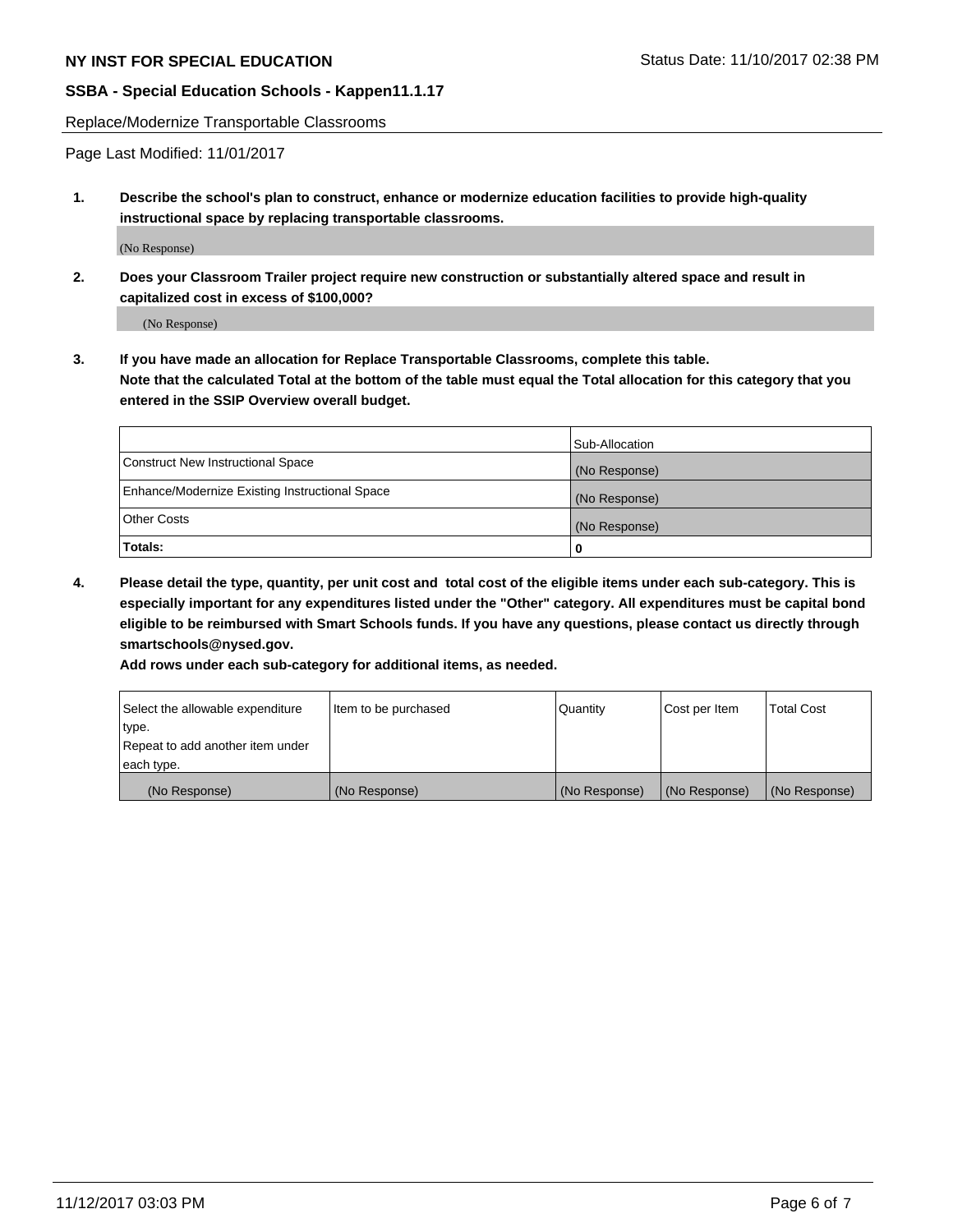Replace/Modernize Transportable Classrooms

Page Last Modified: 11/01/2017

**1. Describe the school's plan to construct, enhance or modernize education facilities to provide high-quality instructional space by replacing transportable classrooms.**

(No Response)

**2. Does your Classroom Trailer project require new construction or substantially altered space and result in capitalized cost in excess of \$100,000?**

(No Response)

**3. If you have made an allocation for Replace Transportable Classrooms, complete this table. Note that the calculated Total at the bottom of the table must equal the Total allocation for this category that you entered in the SSIP Overview overall budget.**

|                                                | Sub-Allocation |
|------------------------------------------------|----------------|
| Construct New Instructional Space              | (No Response)  |
| Enhance/Modernize Existing Instructional Space | (No Response)  |
| Other Costs                                    | (No Response)  |
| Totals:                                        | 0              |

**4. Please detail the type, quantity, per unit cost and total cost of the eligible items under each sub-category. This is especially important for any expenditures listed under the "Other" category. All expenditures must be capital bond eligible to be reimbursed with Smart Schools funds. If you have any questions, please contact us directly through smartschools@nysed.gov.**

**Add rows under each sub-category for additional items, as needed.**

| Select the allowable expenditure | Item to be purchased | Quantity      | Cost per Item | <b>Total Cost</b> |
|----------------------------------|----------------------|---------------|---------------|-------------------|
| ltype.                           |                      |               |               |                   |
| Repeat to add another item under |                      |               |               |                   |
| each type.                       |                      |               |               |                   |
| (No Response)                    | (No Response)        | (No Response) | (No Response) | (No Response)     |